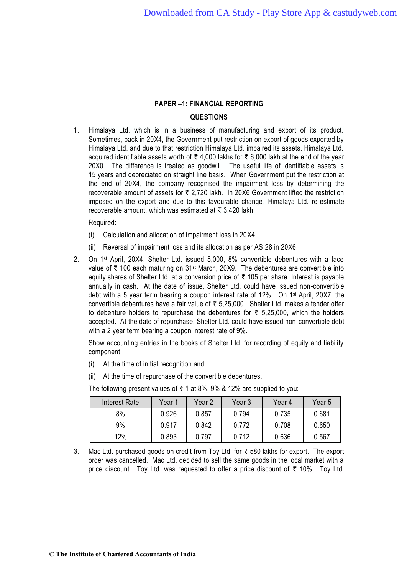## **QUESTIONS**

1. Himalaya Ltd. which is in a business of manufacturing and export of its product. Sometimes, back in 20X4, the Government put restriction on export of goods exported by Himalaya Ltd. and due to that restriction Himalaya Ltd. impaired its assets. Himalaya Ltd. acquired identifiable assets worth of  $\bar{\tau}$  4,000 lakhs for  $\bar{\tau}$  6,000 lakh at the end of the year 20X0. The difference is treated as goodwill. The useful life of identifiable assets is 15 years and depreciated on straight line basis. When Government put the restriction at the end of 20X4, the company recognised the impairment loss by determining the recoverable amount of assets for  $\bar{\tau}$  2,720 lakh. In 20X6 Government lifted the restriction imposed on the export and due to this favourable change, Himalaya Ltd. re-estimate recoverable amount, which was estimated at  $\bar{\tau}$  3,420 lakh.

Required:

- (i) Calculation and allocation of impairment loss in 20X4.
- (ii) Reversal of impairment loss and its allocation as per AS 28 in 20X6.
- 2. On 1st April, 20X4, Shelter Ltd. issued 5,000, 8% convertible debentures with a face value of  $\bar{\tau}$  100 each maturing on 31<sup>st</sup> March, 20X9. The debentures are convertible into equity shares of Shelter Ltd. at a conversion price of  $\bar{\tau}$  105 per share. Interest is payable annually in cash. At the date of issue, Shelter Ltd. could have issued non-convertible debt with a 5 year term bearing a coupon interest rate of 12%. On 1st April, 20X7, the convertible debentures have a fair value of  $\bar{\tau}$  5,25,000. Shelter Ltd. makes a tender offer to debenture holders to repurchase the debentures for  $\overline{z}$  5,25,000, which the holders accepted. At the date of repurchase, Shelter Ltd. could have issued non-convertible debt with a 2 year term bearing a coupon interest rate of 9%.

Show accounting entries in the books of Shelter Ltd. for recording of equity and liability component:

- (i) At the time of initial recognition and
- (ii) At the time of repurchase of the convertible debentures.

| Interest Rate | Year 1 | Year 2 | Year 3 | Year 4 | Year 5 |
|---------------|--------|--------|--------|--------|--------|
| 8%            | 0.926  | 0.857  | 0.794  | 0.735  | 0.681  |
| 9%            | 0.917  | 0.842  | 0.772  | 0.708  | 0.650  |
| 12%           | 0.893  | 0.797  | 0.712  | 0.636  | 0.567  |

The following present values of  $\bar{\tau}$  1 at 8%, 9% & 12% are supplied to you:

3. Mac Ltd. purchased goods on credit from Toy Ltd. for  $\bar{\tau}$  580 lakhs for export. The export order was cancelled. Mac Ltd. decided to sell the same goods in the local market with a price discount. Toy Ltd. was requested to offer a price discount of  $\bar{\tau}$  10%. Toy Ltd.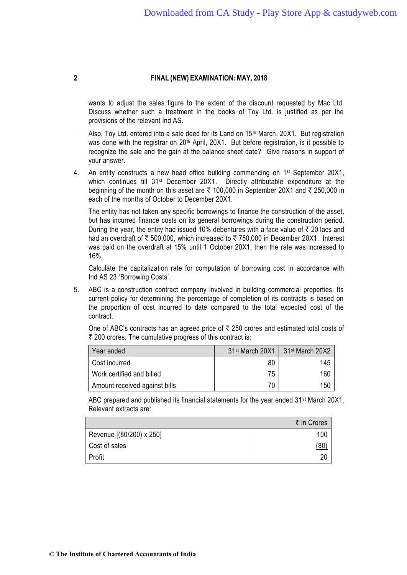wants to adjust the sales figure to the extent of the discount requested by Mac Ltd. Discuss whether such a treatment in the books of Toy Ltd. is justified as per the provisions of the relevant Ind AS.

Also, Toy Ltd. entered into a sale deed for its Land on 15th March, 20X1. But registration was done with the registrar on 20<sup>th</sup> April, 20X1. But before registration, is it possible to recognize the sale and the gain at the balance sheet date? Give reasons in support of your answer.

4. An entity constructs a new head office building commencing on 1<sup>st</sup> September 20X1, which continues till 31<sup>st</sup> December 20X1. Directly attributable expenditure at the beginning of the month on this asset are  $\bar{\tau}$  100,000 in September 20X1 and  $\bar{\tau}$  250,000 in each of the months of October to December 20X1.

The entity has not taken any specific borrowings to finance the construction of the asset, but has incurred finance costs on its general borrowings during the construction period. During the year, the entity had issued 10% debentures with a face value of  $\bar{\tau}$  20 lacs and had an overdraft of  $\bar{\tau}$  500,000, which increased to  $\bar{\tau}$  750,000 in December 20X1. Interest was paid on the overdraft at 15% until 1 October 20X1, then the rate was increased to 16%.

Calculate the capitalization rate for computation of borrowing cost in accordance with Ind AS 23 'Borrowing Costs'.

5. ABC is a construction contract company involved in building commercial properties. Its current policy for determining the percentage of completion of its contracts is based on the proportion of cost incurred to date compared to the total expected cost of the contract.

One of ABC's contracts has an agreed price of  $\bar{\tau}$  250 crores and estimated total costs of ₹ 200 crores. The cumulative progress of this contract is:

| Year ended                    | 31 <sup>st</sup> March 20X1 | 31 <sup>st</sup> March 20X2 |
|-------------------------------|-----------------------------|-----------------------------|
| Cost incurred                 | 80                          | 145                         |
| Work certified and billed     | 75                          | 160                         |
| Amount received against bills | 70                          | 150                         |

ABC prepared and published its financial statements for the year ended  $31^{st}$  March 20X1. Relevant extracts are:

|                          | ₹ in Crores     |
|--------------------------|-----------------|
| Revenue [(80/200) x 250] | 100             |
| Cost of sales            | <u>(80)</u>     |
| Profit                   | $\overline{20}$ |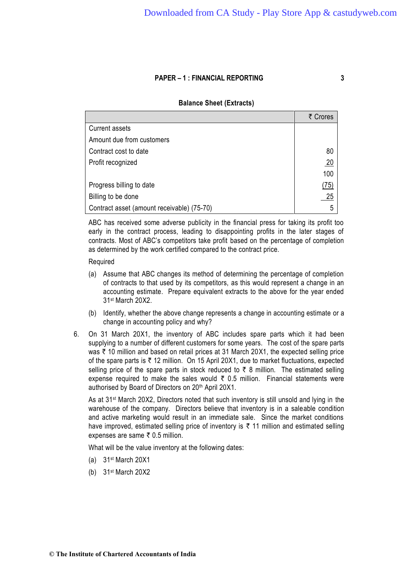## **Balance Sheet (Extracts)**

|                                            | ₹ Crores        |
|--------------------------------------------|-----------------|
| <b>Current assets</b>                      |                 |
| Amount due from customers                  |                 |
| Contract cost to date                      | 80              |
| Profit recognized                          | $\overline{20}$ |
|                                            | 100             |
| Progress billing to date                   | (75)            |
| Billing to be done                         | 25              |
| Contract asset (amount receivable) (75-70) | 5               |

ABC has received some adverse publicity in the financial press for taking its profit too early in the contract process, leading to disappointing profits in the later stages of contracts. Most of ABC's competitors take profit based on the percentage of completion as determined by the work certified compared to the contract price.

#### Required

- (a) Assume that ABC changes its method of determining the percentage of completion of contracts to that used by its competitors, as this would represent a change in an accounting estimate. Prepare equivalent extracts to the above for the year ended 31st March 20X2.
- (b) Identify, whether the above change represents a change in accounting estimate or a change in accounting policy and why?
- 6. On 31 March 20X1, the inventory of ABC includes spare parts which it had been supplying to a number of different customers for some years. The cost of the spare parts was  $\bar{\tau}$  10 million and based on retail prices at 31 March 20X1, the expected selling price of the spare parts is  $\bar{\tau}$  12 million. On 15 April 20X1, due to market fluctuations, expected selling price of the spare parts in stock reduced to  $\bar{\tau}$  8 million. The estimated selling expense required to make the sales would  $\bar{\tau}$  0.5 million. Financial statements were authorised by Board of Directors on 20<sup>th</sup> April 20X1.

As at 31st March 20X2, Directors noted that such inventory is still unsold and lying in the warehouse of the company. Directors believe that inventory is in a saleable condition and active marketing would result in an immediate sale. Since the market conditions have improved, estimated selling price of inventory is  $\bar{\tau}$  11 million and estimated selling expenses are same  $\bar{\tau}$  0.5 million.

What will be the value inventory at the following dates:

- (a) 31st March 20X1
- (b) 31st March 20X2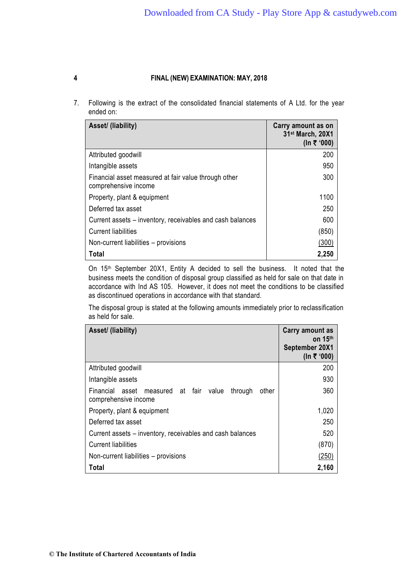7. Following is the extract of the consolidated financial statements of A Ltd. for the year ended on:

| Asset/ (liability)                                                           | Carry amount as on<br>31st March, 20X1<br>(In ₹ '000) |
|------------------------------------------------------------------------------|-------------------------------------------------------|
| Attributed goodwill                                                          | 200                                                   |
| Intangible assets                                                            | 950                                                   |
| Financial asset measured at fair value through other<br>comprehensive income | 300                                                   |
| Property, plant & equipment                                                  | 1100                                                  |
| Deferred tax asset                                                           | 250                                                   |
| Current assets – inventory, receivables and cash balances                    | 600                                                   |
| <b>Current liabilities</b>                                                   | (850)                                                 |
| Non-current liabilities – provisions                                         | (300)                                                 |
| Total                                                                        | 2,250                                                 |

On 15<sup>th</sup> September 20X1, Entity A decided to sell the business. It noted that the business meets the condition of disposal group classified as held for sale on that date in accordance with Ind AS 105. However, it does not meet the conditions to be classified as discontinued operations in accordance with that standard.

The disposal group is stated at the following amounts immediately prior to reclassification as held for sale.

| Asset/ (liability)                                                                       | Carry amount as<br>on $15th$<br>September 20X1 |
|------------------------------------------------------------------------------------------|------------------------------------------------|
|                                                                                          | (In ₹ '000)                                    |
| Attributed goodwill                                                                      | 200                                            |
| Intangible assets                                                                        | 930                                            |
| Financial asset<br>fair value<br>measured at<br>through<br>other<br>comprehensive income | 360                                            |
| Property, plant & equipment                                                              | 1,020                                          |
| Deferred tax asset                                                                       | 250                                            |
| Current assets – inventory, receivables and cash balances                                | 520                                            |
| <b>Current liabilities</b>                                                               | (870)                                          |
| Non-current liabilities – provisions                                                     | (250)                                          |
| Total                                                                                    | 2,160                                          |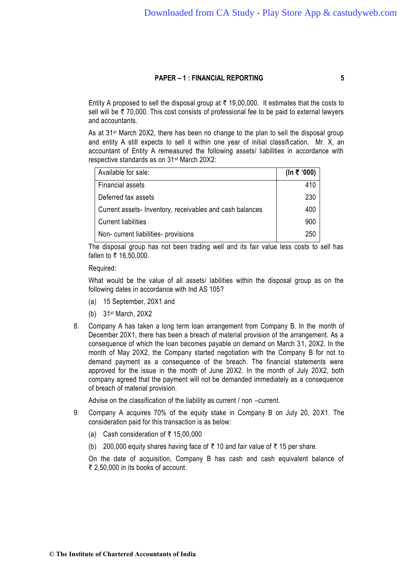Entity A proposed to sell the disposal group at  $\bar{\tau}$  19,00,000. It estimates that the costs to sell will be  $\bar{\tau}$  70,000. This cost consists of professional fee to be paid to external lawyers and accountants.

As at 31st March 20X2, there has been no change to the plan to sell the disposal group and entity A still expects to sell it within one year of initial classification. Mr. X, an accountant of Entity A remeasured the following assets/ liabilities in accordance with respective standards as on 31st March 20X2:

| Available for sale:                                     | (In ₹ '000) |
|---------------------------------------------------------|-------------|
| <b>Financial assets</b>                                 | 410         |
| Deferred tax assets                                     | 230         |
| Current assets-Inventory, receivables and cash balances | 400         |
| <b>Current liabilities</b>                              | 900         |
| Non-current liabilities-provisions                      | 250         |

The disposal group has not been trading well and its fair value less costs to sell has fallen to  $\bar{x}$  16,50,000.

Required:

What would be the value of all assets/ labilities within the disposal group as on the following dates in accordance with Ind AS 105?

- (a) 15 September, 20X1 and
- (b) 31st March, 20X2
- 8. Company A has taken a long term loan arrangement from Company B. In the month of December 20X1, there has been a breach of material provision of the arrangement. As a consequence of which the loan becomes payable on demand on March 31, 20X2. In the month of May 20X2, the Company started negotiation with the Company B for not to demand payment as a consequence of the breach. The financial statements were approved for the issue in the month of June 20X2. In the month of July 20X2, both company agreed that the payment will not be demanded immediately as a consequence of breach of material provision.

Advise on the classification of the liability as current / non –current.

- 9. Company A acquires 70% of the equity stake in Company B on July 20, 20X1. The consideration paid for this transaction is as below:
	- (a) Cash consideration of  $\bar{\tau}$  15,00,000
	- (b) 200,000 equity shares having face of  $\bar{\tau}$  10 and fair value of  $\bar{\tau}$  15 per share.

On the date of acquisition, Company B has cash and cash equivalent balance of  $\bar{\tau}$  2,50,000 in its books of account.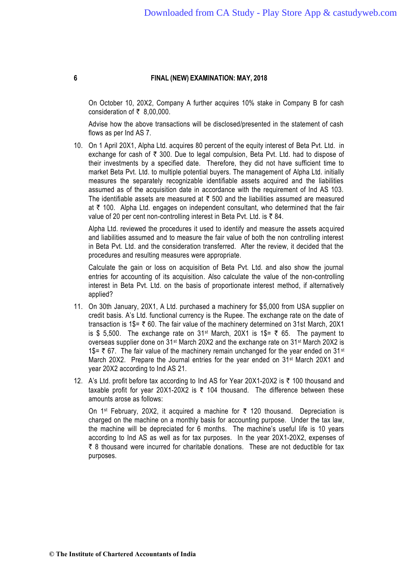On October 10, 20X2, Company A further acquires 10% stake in Company B for cash consideration of  $\overline{\xi}$  8,00,000.

Advise how the above transactions will be disclosed/presented in the statement of cash flows as per Ind AS 7.

10. On 1 April 20X1, Alpha Ltd. acquires 80 percent of the equity interest of Beta Pvt. Ltd. in exchange for cash of  $\bar{\tau}$  300. Due to legal compulsion, Beta Pvt. Ltd. had to dispose of their investments by a specified date. Therefore, they did not have sufficient time to market Beta Pvt. Ltd. to multiple potential buyers. The management of Alpha Ltd. initially measures the separately recognizable identifiable assets acquired and the liabilities assumed as of the acquisition date in accordance with the requirement of Ind AS 103. The identifiable assets are measured at  $\bar{\tau}$  500 and the liabilities assumed are measured at  $\bar{\tau}$  100. Alpha Ltd. engages on independent consultant, who determined that the fair value of 20 per cent non-controlling interest in Beta Pvt. Ltd. is  $\bar{\tau}$  84.

Alpha Ltd. reviewed the procedures it used to identify and measure the assets acq uired and liabilities assumed and to measure the fair value of both the non controlling interest in Beta Pvt. Ltd. and the consideration transferred. After the review, it decided that the procedures and resulting measures were appropriate.

Calculate the gain or loss on acquisition of Beta Pvt. Ltd. and also show the journal entries for accounting of its acquisition. Also calculate the value of the non-controlling interest in Beta Pvt. Ltd. on the basis of proportionate interest method, if alternatively applied?

- 11. On 30th January, 20X1, A Ltd. purchased a machinery for \$5,000 from USA supplier on credit basis. A's Ltd. functional currency is the Rupee. The exchange rate on the date of transaction is 1\$=  $\overline{\tau}$  60. The fair value of the machinery determined on 31st March, 20X1 is \$ 5,500. The exchange rate on 31<sup>st</sup> March, 20X1 is 1\$=  $\bar{\tau}$  65. The payment to overseas supplier done on 31st March 20X2 and the exchange rate on 31st March 20X2 is 1\$=  $\overline{5}$  67. The fair value of the machinery remain unchanged for the year ended on 31<sup>st</sup> March 20X2. Prepare the Journal entries for the year ended on 31<sup>st</sup> March 20X1 and year 20X2 according to Ind AS 21.
- 12. A's Ltd. profit before tax according to Ind AS for Year 20X1-20X2 is ₹ 100 thousand and taxable profit for year 20X1-20X2 is  $\bar{\tau}$  104 thousand. The difference between these amounts arose as follows:

On 1<sup>st</sup> February, 20X2, it acquired a machine for  $\bar{\tau}$  120 thousand. Depreciation is charged on the machine on a monthly basis for accounting purpose. Under the tax law, the machine will be depreciated for 6 months. The machine's useful life is 10 years according to Ind AS as well as for tax purposes. In the year 20X1-20X2, expenses of  $\bar{\tau}$  8 thousand were incurred for charitable donations. These are not deductible for tax purposes.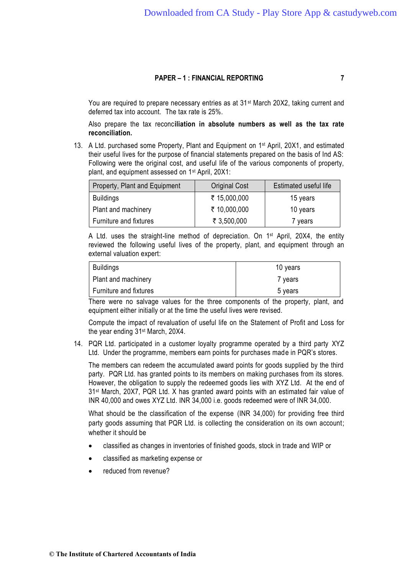You are required to prepare necessary entries as at 31<sup>st</sup> March 20X2, taking current and deferred tax into account. The tax rate is 25%.

Also prepare the tax reconc**iliation in absolute numbers as well as the tax rate reconciliation.**

13. A Ltd. purchased some Property, Plant and Equipment on 1<sup>st</sup> April, 20X1, and estimated their useful lives for the purpose of financial statements prepared on the basis of Ind AS: Following were the original cost, and useful life of the various components of property, plant, and equipment assessed on 1st April, 20X1:

| Property, Plant and Equipment | <b>Original Cost</b> | Estimated useful life |
|-------------------------------|----------------------|-----------------------|
| <b>Buildings</b>              | ₹ 15,000,000         | 15 years              |
| Plant and machinery           | ₹ 10,000,000         | 10 years              |
| Furniture and fixtures        | ₹ 3,500,000          | 7 years               |

A Ltd. uses the straight-line method of depreciation. On 1<sup>st</sup> April, 20X4, the entity reviewed the following useful lives of the property, plant, and equipment through an external valuation expert:

| <b>Buildings</b>       | 10 years |
|------------------------|----------|
| Plant and machinery    | 7 years  |
| Furniture and fixtures | 5 years  |

There were no salvage values for the three components of the property, plant, and equipment either initially or at the time the useful lives were revised.

Compute the impact of revaluation of useful life on the Statement of Profit and Loss for the year ending 31st March, 20X4.

14. PQR Ltd. participated in a customer loyalty programme operated by a third party XYZ Ltd. Under the programme, members earn points for purchases made in PQR's stores.

The members can redeem the accumulated award points for goods supplied by the third party. PQR Ltd. has granted points to its members on making purchases from its stores. However, the obligation to supply the redeemed goods lies with XYZ Ltd. At the end of 31st March, 20X7, PQR Ltd. X has granted award points with an estimated fair value of INR 40,000 and owes XYZ Ltd. INR 34,000 i.e. goods redeemed were of INR 34,000.

What should be the classification of the expense (INR 34,000) for providing free third party goods assuming that PQR Ltd. is collecting the consideration on its own account; whether it should be

- classified as changes in inventories of finished goods, stock in trade and WIP or
- classified as marketing expense or
- reduced from revenue?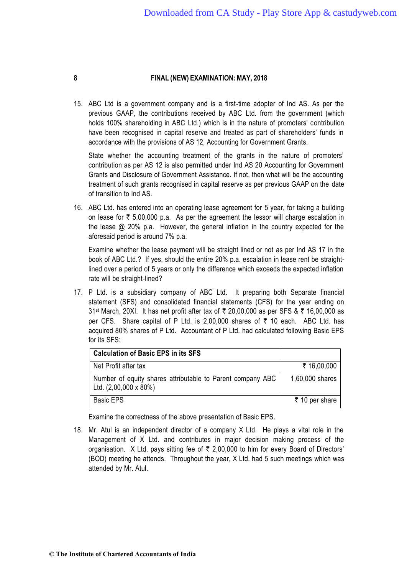15. ABC Ltd is a government company and is a first-time adopter of Ind AS. As per the previous GAAP, the contributions received by ABC Ltd. from the government (which holds 100% shareholding in ABC Ltd.) which is in the nature of promoters' contribution have been recognised in capital reserve and treated as part of shareholders' funds in accordance with the provisions of AS 12, Accounting for Government Grants.

State whether the accounting treatment of the grants in the nature of promoters' contribution as per AS 12 is also permitted under Ind AS 20 Accounting for Government Grants and Disclosure of Government Assistance. If not, then what will be the accounting treatment of such grants recognised in capital reserve as per previous GAAP on the date of transition to Ind AS.

16. ABC Ltd. has entered into an operating lease agreement for 5 year, for taking a building on lease for  $\bar{\tau}$  5,00,000 p.a. As per the agreement the lessor will charge escalation in the lease @ 20% p.a. However, the general inflation in the country expected for the aforesaid period is around 7% p.a.

Examine whether the lease payment will be straight lined or not as per Ind AS 17 in the book of ABC Ltd.? If yes, should the entire 20% p.a. escalation in lease rent be straightlined over a period of 5 years or only the difference which exceeds the expected inflation rate will be straight-lined?

17. P Ltd. is a subsidiary company of ABC Ltd. It preparing both Separate financial statement (SFS) and consolidated financial statements (CFS) for the year ending on 31<sup>st</sup> March, 20XI. It has net profit after tax of ₹ 20,00,000 as per SFS & ₹ 16,00,000 as per CFS. Share capital of P Ltd. is 2,00,000 shares of  $\bar{\tau}$  10 each. ABC Ltd. has acquired 80% shares of P Ltd. Accountant of P Ltd. had calculated following Basic EPS for its SFS:

| <b>Calculation of Basic EPS in its SFS</b>                                                 |                 |
|--------------------------------------------------------------------------------------------|-----------------|
| Net Profit after tax                                                                       | ₹ 16,00,000     |
| Number of equity shares attributable to Parent company ABC<br>Ltd. $(2,00,000 \times 80%)$ | 1,60,000 shares |
| <b>Basic EPS</b>                                                                           | ₹ 10 per share  |

Examine the correctness of the above presentation of Basic EPS.

18. Mr. Atul is an independent director of a company X Ltd. He plays a vital role in the Management of X Ltd. and contributes in major decision making process of the organisation. X Ltd. pays sitting fee of  $\bar{\tau}$  2,00,000 to him for every Board of Directors' (BOD) meeting he attends. Throughout the year, X Ltd. had 5 such meetings which was attended by Mr. Atul.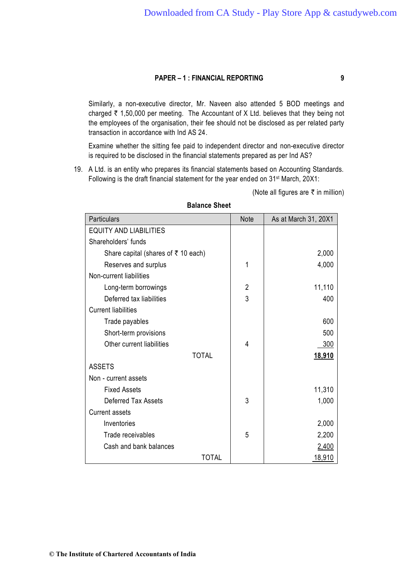Similarly, a non-executive director, Mr. Naveen also attended 5 BOD meetings and charged  $\bar{\tau}$  1,50,000 per meeting. The Accountant of X Ltd. believes that they being not the employees of the organisation, their fee should not be disclosed as per related party transaction in accordance with Ind AS 24.

Examine whether the sitting fee paid to independent director and non-executive director is required to be disclosed in the financial statements prepared as per Ind AS?

19. A Ltd. is an entity who prepares its financial statements based on Accounting Standards. Following is the draft financial statement for the year ended on 31st March, 20X1:

(Note all figures are  $\bar{\tau}$  in million)

| <b>Particulars</b>                          | Note | As at March 31, 20X1 |
|---------------------------------------------|------|----------------------|
| <b>EQUITY AND LIABILITIES</b>               |      |                      |
| Shareholders' funds                         |      |                      |
| Share capital (shares of $\bar{x}$ 10 each) |      | 2,000                |
| Reserves and surplus                        | 1    | 4,000                |
| Non-current liabilities                     |      |                      |
| Long-term borrowings                        | 2    | 11,110               |
| Deferred tax liabilities                    | 3    | 400                  |
| <b>Current liabilities</b>                  |      |                      |
| Trade payables                              |      | 600                  |
| Short-term provisions                       |      | 500                  |
| Other current liabilities                   | 4    | 300                  |
| <b>TOTAL</b>                                |      | <u>18,910</u>        |
| <b>ASSETS</b>                               |      |                      |
| Non - current assets                        |      |                      |
| <b>Fixed Assets</b>                         |      | 11,310               |
| <b>Deferred Tax Assets</b>                  | 3    | 1,000                |
| <b>Current assets</b>                       |      |                      |
| Inventories                                 |      | 2,000                |
| Trade receivables                           | 5    | 2,200                |
| Cash and bank balances                      |      | 2,400                |
| <b>TOTAL</b>                                |      | 18,910               |

## **Balance Sheet**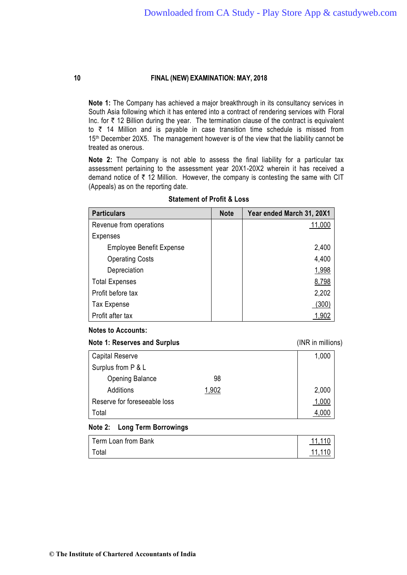**Note 1:** The Company has achieved a major breakthrough in its consultancy services in South Asia following which it has entered into a contract of rendering services with Floral Inc. for  $\bar{\tau}$  12 Billion during the year. The termination clause of the contract is equivalent to  $\bar{\tau}$  14 Million and is payable in case transition time schedule is missed from 15<sup>th</sup> December 20X5. The management however is of the view that the liability cannot be treated as onerous.

**Note 2:** The Company is not able to assess the final liability for a particular tax assessment pertaining to the assessment year 20X1-20X2 wherein it has received a demand notice of  $\bar{\tau}$  12 Million. However, the company is contesting the same with CIT (Appeals) as on the reporting date.

| <b>Particulars</b>              | <b>Note</b> | Year ended March 31, 20X1 |
|---------------------------------|-------------|---------------------------|
| Revenue from operations         |             | 11,000                    |
| <b>Expenses</b>                 |             |                           |
| <b>Employee Benefit Expense</b> |             | 2,400                     |
| <b>Operating Costs</b>          |             | 4,400                     |
| Depreciation                    |             | 1,998                     |
| <b>Total Expenses</b>           |             | 8,798                     |
| Profit before tax               |             | 2,202                     |
| <b>Tax Expense</b>              |             | (300)                     |
| Profit after tax                |             | 1,902                     |

#### **Statement of Profit & Loss**

#### **Notes to Accounts:**

**Note 1: Reserves and Surplus** (INR in millions)

Capital Reserve 1,000 Surplus from P & L Opening Balance 98 Additions 1,902 2,000 Reserve for foreseeable loss 1,000 Total and the set of the set of the set of the set of the set of the set of the set of the set of the set of the set of the set of the set of the set of the set of the set of the set of the set of the set of the set of the

#### **Note 2: Long Term Borrowings**

| Term Loan from Bank | 11 11 C |
|---------------------|---------|
| Total               | 11 11 1 |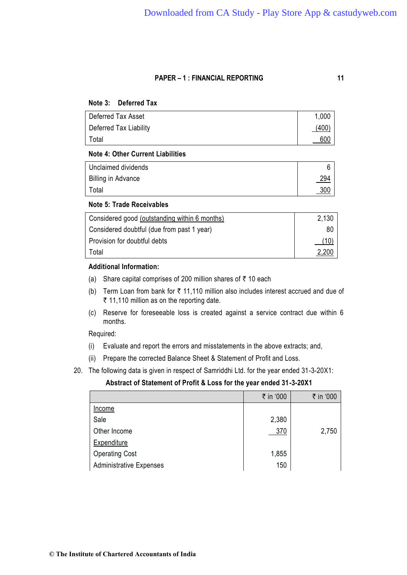**Note 3: Deferred Tax**

| Deferred Tax Asset     | 1,000 |
|------------------------|-------|
| Deferred Tax Liability | (400) |
| Total                  | 600   |

## **Note 4: Other Current Liabilities**

| Unclaimed dividends       |            |
|---------------------------|------------|
| <b>Billing in Advance</b> | <u>294</u> |
| Total                     | <u>300</u> |

#### **Note 5: Trade Receivables**

| Considered good (outstanding within 6 months) | 2,130 |
|-----------------------------------------------|-------|
| Considered doubtful (due from past 1 year)    | 80    |
| Provision for doubtful debts                  | (10)  |
| Total                                         | 2,200 |

# **Additional Information:**

- (a) Share capital comprises of 200 million shares of  $\bar{\tau}$  10 each
- (b) Term Loan from bank for  $\bar{\tau}$  11,110 million also includes interest accrued and due of  $\bar{\tau}$  11,110 million as on the reporting date.
- (c) Reserve for foreseeable loss is created against a service contract due within 6 months.

#### Required:

- (i) Evaluate and report the errors and misstatements in the above extracts; and,
- (ii) Prepare the corrected Balance Sheet & Statement of Profit and Loss.
- 20. The following data is given in respect of Samriddhi Ltd. for the year ended 31-3-20X1:

#### **Abstract of Statement of Profit & Loss for the year ended 31-3-20X1**

|                                | ₹ in '000 | ₹ in '000 |
|--------------------------------|-----------|-----------|
| Income                         |           |           |
| Sale                           | 2,380     |           |
| Other Income                   | 370       | 2,750     |
| <b>Expenditure</b>             |           |           |
| <b>Operating Cost</b>          | 1,855     |           |
| <b>Administrative Expenses</b> | 150       |           |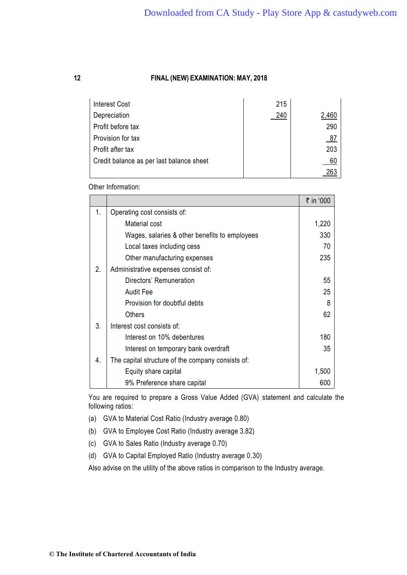| <b>Interest Cost</b>                     | 215 |       |
|------------------------------------------|-----|-------|
| Depreciation                             | 240 | 2,460 |
| Profit before tax                        |     | 290   |
| Provision for tax                        |     | 87    |
| Profit after tax                         |     | 203   |
| Credit balance as per last balance sheet |     | 60    |
|                                          |     |       |

Other Information:

|                |                                                   | ₹ in '000 |
|----------------|---------------------------------------------------|-----------|
| 1 <sub>1</sub> | Operating cost consists of:                       |           |
|                | Material cost                                     | 1,220     |
|                | Wages, salaries & other benefits to employees     | 330       |
|                | Local taxes including cess                        | 70        |
|                | Other manufacturing expenses                      | 235       |
| 2.             | Administrative expenses consist of:               |           |
|                | Directors' Remuneration                           | 55        |
|                | <b>Audit Fee</b>                                  | 25        |
|                | Provision for doubtful debts                      | 8         |
|                | Others                                            | 62        |
| 3.             | Interest cost consists of:                        |           |
|                | Interest on 10% debentures                        | 180       |
|                | Interest on temporary bank overdraft              | 35        |
| 4.             | The capital structure of the company consists of: |           |
|                | Equity share capital                              | 1,500     |
|                | 9% Preference share capital                       | 600       |

You are required to prepare a Gross Value Added (GVA) statement and calculate the following ratios:

- (a) GVA to Material Cost Ratio (Industry average 0.80)
- (b) GVA to Employee Cost Ratio (Industry average 3.82)
- (c) GVA to Sales Ratio (Industry average 0.70)
- (d) GVA to Capital Employed Ratio (Industry average 0.30)

Also advise on the utility of the above ratios in comparison to the Industry average.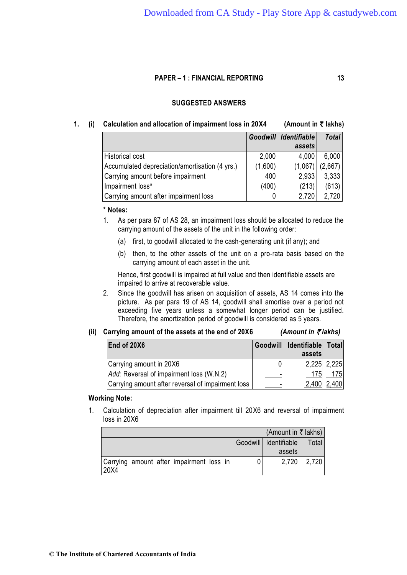## **SUGGESTED ANSWERS**

## **1.** (i) Calculation and allocation of impairment loss in 20X4 (Amount in  $\bar{\tau}$  lakhs)

|                                                |         | Goodwill   Identifiable | <b>Total</b> |
|------------------------------------------------|---------|-------------------------|--------------|
|                                                |         | assets                  |              |
| <b>Historical cost</b>                         | 2,000   | 4,000                   | 6,000        |
| Accumulated depreciation/amortisation (4 yrs.) | (1,600) | (1,067)                 | (2,667)      |
| Carrying amount before impairment              | 400     | 2,933                   | 3,333        |
| Impairment loss*                               | (400)   | (213)                   | (613)        |
| Carrying amount after impairment loss          |         | 2,720                   | 2,720        |

### **\* Notes:**

1. As per para 87 of AS 28, an impairment loss should be allocated to reduce the carrying amount of the assets of the unit in the following order:

- (a) first, to goodwill allocated to the cash-generating unit (if any); and
- (b) then, to the other assets of the unit on a pro-rata basis based on the carrying amount of each asset in the unit.

Hence, first goodwill is impaired at full value and then identifiable assets are impaired to arrive at recoverable value.

2. Since the goodwill has arisen on acquisition of assets, AS 14 comes into the picture. As per para 19 of AS 14, goodwill shall amortise over a period not exceeding five years unless a somewhat longer period can be justified. Therefore, the amortization period of goodwill is considered as 5 years.

#### (ii) Carrying amount of the assets at the end of 20X6  $(Amount in \zeta)$  *(Amount in*  $\zeta$  *lakhs)*

| End of 20X6                                       | Goodwill Identifiable Total |             |
|---------------------------------------------------|-----------------------------|-------------|
|                                                   | assets                      |             |
| Carrying amount in 20X6                           |                             | 2,225 2,225 |
| Add: Reversal of impairment loss (W.N.2)          | 175                         | 1751        |
| Carrying amount after reversal of impairment loss | 2,400   2,400               |             |

#### **Working Note:**

1. Calculation of depreciation after impairment till 20X6 and reversal of impairment loss in 20X6

|                                                  | (Amount in ₹ lakhs)     |       |
|--------------------------------------------------|-------------------------|-------|
|                                                  | Goodwill   Identifiable | Total |
|                                                  | assets                  |       |
| Carrying amount after impairment loss in<br>20X4 | 2.720                   | 2,720 |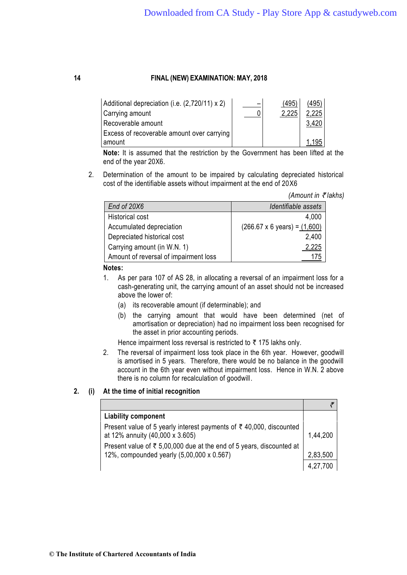| Additional depreciation (i.e. (2,720/11) x 2) | (495) | (495) |  |
|-----------------------------------------------|-------|-------|--|
| Carrying amount                               | 2,225 | 2,225 |  |
| Recoverable amount                            |       |       |  |
| Excess of recoverable amount over carrying    |       |       |  |
| amount                                        |       | 1.195 |  |

**Note:** It is assumed that the restriction by the Government has been lifted at the end of the year 20X6.

2. Determination of the amount to be impaired by calculating depreciated historical cost of the identifiable assets without impairment at the end of 20X6

*(Amount in ₹ lakhs)* 

| End of 20X6                           | Identifiable assets                         |
|---------------------------------------|---------------------------------------------|
| Historical cost                       | 4,000                                       |
| Accumulated depreciation              | $(266.67 \times 6 \text{ years}) = (1,600)$ |
| Depreciated historical cost           | 2,400                                       |
| Carrying amount (in W.N. 1)           | 2,225                                       |
| Amount of reversal of impairment loss |                                             |

#### **Notes:**

- 1. As per para 107 of AS 28, in allocating a reversal of an impairment loss for a cash-generating unit, the carrying amount of an asset should not be increased above the lower of:
	- (a) its recoverable amount (if determinable); and
	- (b) the carrying amount that would have been determined (net of amortisation or depreciation) had no impairment loss been recognised for the asset in prior accounting periods.

Hence impairment loss reversal is restricted to  $\bar{\tau}$  175 lakhs only.

2. The reversal of impairment loss took place in the 6th year. However, goodwill is amortised in 5 years. Therefore, there would be no balance in the goodwill account in the 6th year even without impairment loss. Hence in W.N. 2 above there is no column for recalculation of goodwill.

# **2. (i) At the time of initial recognition**

| <b>Liability component</b>                                                                                        |          |
|-------------------------------------------------------------------------------------------------------------------|----------|
| Present value of 5 yearly interest payments of ₹40,000, discounted<br>at 12% annuity (40,000 x 3.605)             | 1,44,200 |
| Present value of ₹ 5,00,000 due at the end of 5 years, discounted at<br>12%, compounded yearly (5,00,000 x 0.567) | 2,83,500 |
|                                                                                                                   |          |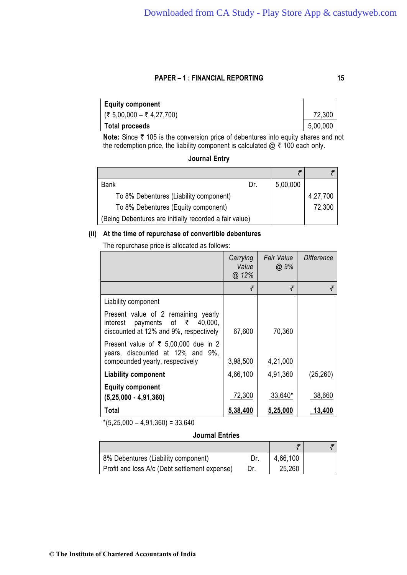| <b>Equity component</b>   |          |
|---------------------------|----------|
| (₹ 5,00,000 – ₹ 4,27,700) | 72,300   |
| <b>Total proceeds</b>     | 5,00,000 |

**Note:** Since ₹ 105 is the conversion price of debentures into equity shares and not the redemption price, the liability component is calculated  $@ \t{7} 100$  each only.

# **Journal Entry**

| <b>Bank</b>                                            | Dr. | 5,00,000 |          |
|--------------------------------------------------------|-----|----------|----------|
| To 8% Debentures (Liability component)                 |     |          | 4,27,700 |
| To 8% Debentures (Equity component)                    |     |          | 72,300   |
| (Being Debentures are initially recorded a fair value) |     |          |          |

# **(ii) At the time of repurchase of convertible debentures**

The repurchase price is allocated as follows:

|                                                                                                                               | Carrying<br>Value<br>@.12% | Fair Value<br>$@.9\%$ | Difference |
|-------------------------------------------------------------------------------------------------------------------------------|----------------------------|-----------------------|------------|
|                                                                                                                               | ₹                          | ₹                     | ₹          |
| Liability component                                                                                                           |                            |                       |            |
| Present value of 2 remaining yearly<br>payments of $\bar{\tau}$ 40,000,<br>interest<br>discounted at 12% and 9%, respectively | 67,600                     | 70,360                |            |
| Present value of ₹ 5,00,000 due in 2<br>years, discounted at 12% and 9%,<br>compounded yearly, respectively                   | 3,98,500                   | 4,21,000              |            |
| <b>Liability component</b>                                                                                                    | 4,66,100                   | 4,91,360              | (25, 260)  |
| <b>Equity component</b><br>$(5,25,000 - 4,91,360)$                                                                            | 72,300                     | $33,640*$             | 38,660     |
| Total                                                                                                                         | 5,38,400                   | 5,25,000              | 13,400     |

 $*(5,25,000 - 4,91,360) = 33,640$ 

## **Journal Entries**

| 8% Debentures (Liability component)           | 4,66,100 |  |
|-----------------------------------------------|----------|--|
| Profit and loss A/c (Debt settlement expense) | 25,260   |  |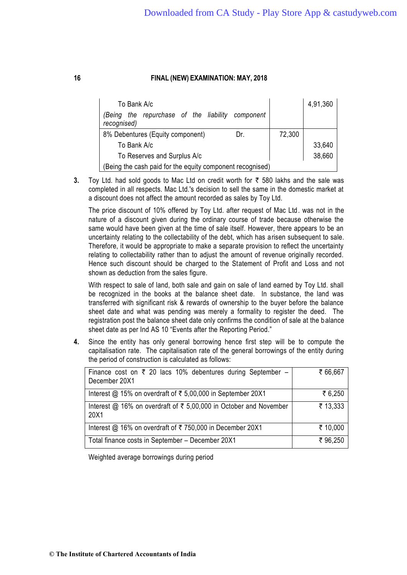| To Bank A/c<br>repurchase of the liability component<br>the<br>(Beina<br>recognised) |        | 4,91,360 |  |
|--------------------------------------------------------------------------------------|--------|----------|--|
| 8% Debentures (Equity component)<br>Dr.                                              | 72,300 |          |  |
| To Bank A/c                                                                          |        | 33,640   |  |
| To Reserves and Surplus A/c                                                          |        | 38,660   |  |
| (Being the cash paid for the equity component recognised)                            |        |          |  |

**3.** Toy Ltd. had sold goods to Mac Ltd on credit worth for ₹ 580 lakhs and the sale was completed in all respects. Mac Ltd.'s decision to sell the same in the domestic market at a discount does not affect the amount recorded as sales by Toy Ltd.

The price discount of 10% offered by Toy Ltd. after request of Mac Ltd. was not in the nature of a discount given during the ordinary course of trade because otherwise the same would have been given at the time of sale itself. However, there appears to be an uncertainty relating to the collectability of the debt, which has arisen subsequent to sale. Therefore, it would be appropriate to make a separate provision to reflect the uncertainty relating to collectability rather than to adjust the amount of revenue originally recorded. Hence such discount should be charged to the Statement of Profit and Loss and not shown as deduction from the sales figure.

With respect to sale of land, both sale and gain on sale of land earned by Toy Ltd. shall be recognized in the books at the balance sheet date. In substance, the land was transferred with significant risk & rewards of ownership to the buyer before the balance sheet date and what was pending was merely a formality to register the deed. The registration post the balance sheet date only confirms the condition of sale at the b alance sheet date as per Ind AS 10 "Events after the Reporting Period."

**4.** Since the entity has only general borrowing hence first step will be to compute the capitalisation rate. The capitalisation rate of the general borrowings of the entity during the period of construction is calculated as follows:

| Finance cost on $\overline{\zeta}$ 20 lacs 10% debentures during September –<br>December 20X1 | ₹ 66,667 |
|-----------------------------------------------------------------------------------------------|----------|
| Interest @ 15% on overdraft of ₹ 5,00,000 in September 20X1                                   | ₹ 6,250  |
| Interest @ 16% on overdraft of $\bar{\tau}$ 5,00,000 in October and November<br>20X1          | ₹ 13,333 |
| Interest @ 16% on overdraft of ₹ 750,000 in December 20X1                                     | ₹ 10,000 |
| Total finance costs in September - December 20X1                                              | ₹96,250  |

Weighted average borrowings during period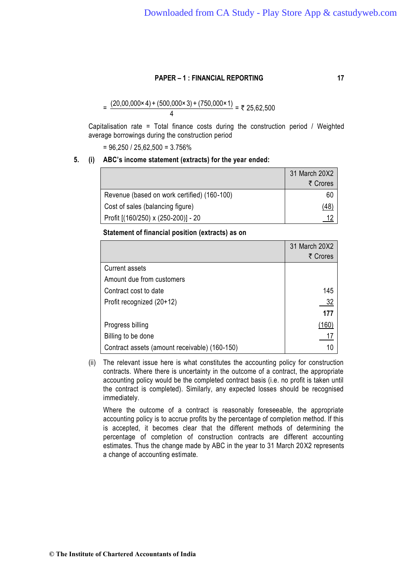$$
= \frac{(20,00,000 \times 4) + (500,000 \times 3) + (750,000 \times 1)}{4} = ₹25,62,500
$$

Capitalisation rate = Total finance costs during the construction period / Weighted average borrowings during the construction period

 $= 96,250 / 25,62,500 = 3.756\%$ 

#### **5. (i) ABC's income statement (extracts) for the year ended:**

|                                             | 31 March 20X2 |
|---------------------------------------------|---------------|
|                                             | ₹ Crores      |
| Revenue (based on work certified) (160-100) | 60            |
| Cost of sales (balancing figure)            | <u>48)</u>    |
| Profit [(160/250) x (250-200)] - 20         |               |

#### **Statement of financial position (extracts) as on**

|                                               | 31 March 20X2 |
|-----------------------------------------------|---------------|
|                                               | ₹ Crores      |
| <b>Current assets</b>                         |               |
| Amount due from customers                     |               |
| Contract cost to date                         | 145           |
| Profit recognized (20+12)                     | 32            |
|                                               | 177           |
| Progress billing                              | (160)         |
| Billing to be done                            |               |
| Contract assets (amount receivable) (160-150) |               |

(ii) The relevant issue here is what constitutes the accounting policy for construction contracts. Where there is uncertainty in the outcome of a contract, the appropriate accounting policy would be the completed contract basis (i.e. no profit is taken until the contract is completed). Similarly, any expected losses should be recognised immediately.

Where the outcome of a contract is reasonably foreseeable, the appropriate accounting policy is to accrue profits by the percentage of completion method. If this is accepted, it becomes clear that the different methods of determining the percentage of completion of construction contracts are different accounting estimates. Thus the change made by ABC in the year to 31 March 20X2 represents a change of accounting estimate.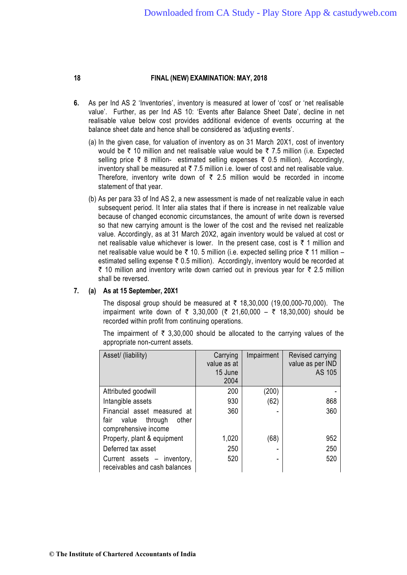- **6.** As per Ind AS 2 'Inventories', inventory is measured at lower of 'cost' or 'net realisable value'. Further, as per Ind AS 10: 'Events after Balance Sheet Date', decline in net realisable value below cost provides additional evidence of events occurring at the balance sheet date and hence shall be considered as 'adjusting events'.
	- (a) In the given case, for valuation of inventory as on 31 March 20X1, cost of inventory would be  $\bar{\tau}$  10 million and net realisable value would be  $\bar{\tau}$  7.5 million (i.e. Expected selling price  $\bar{\tau}$  8 million- estimated selling expenses  $\bar{\tau}$  0.5 million). Accordingly, inventory shall be measured at  $\bar{\tau}$  7.5 million i.e. lower of cost and net realisable value. Therefore, inventory write down of  $\bar{\tau}$  2.5 million would be recorded in income statement of that year.
	- (b) As per para 33 of Ind AS 2, a new assessment is made of net realizable value in each subsequent period. It Inter alia states that if there is increase in net realizable value because of changed economic circumstances, the amount of write down is reversed so that new carrying amount is the lower of the cost and the revised net realizable value. Accordingly, as at 31 March 20X2, again inventory would be valued at cost or net realisable value whichever is lower. In the present case, cost is  $\bar{\tau}$  1 million and net realisable value would be ₹ 10. 5 million (i.e. expected selling price ₹ 11 million – estimated selling expense  $\bar{\tau}$  0.5 million). Accordingly, inventory would be recorded at  $\bar{\tau}$  10 million and inventory write down carried out in previous year for  $\bar{\tau}$  2.5 million shall be reversed.

## **7. (a) As at 15 September, 20X1**

The disposal group should be measured at  $\bar{\tau}$  18,30,000 (19,00,000-70,000). The impairment write down of  $\bar{\tau}$  3,30,000 ( $\bar{\tau}$  21,60,000 –  $\bar{\tau}$  18,30,000) should be recorded within profit from continuing operations.

The impairment of  $\bar{\tau}$  3,30,000 should be allocated to the carrying values of the appropriate non-current assets.

| Asset/ (liability)                                                                    | Carrying<br>value as at<br>15 June<br>2004 | Impairment | Revised carrying<br>value as per IND<br>AS 105 |
|---------------------------------------------------------------------------------------|--------------------------------------------|------------|------------------------------------------------|
| Attributed goodwill                                                                   | 200                                        | (200)      |                                                |
| Intangible assets                                                                     | 930                                        | (62)       | 868                                            |
| Financial asset measured at<br>fair<br>value through<br>other<br>comprehensive income | 360                                        |            | 360                                            |
| Property, plant & equipment                                                           | 1,020                                      | (68)       | 952                                            |
| Deferred tax asset                                                                    | 250                                        |            | 250                                            |
| Current assets - inventory,<br>receivables and cash balances                          | 520                                        |            | 520                                            |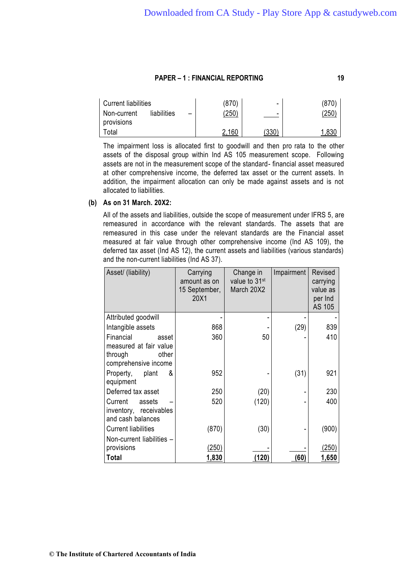| Current liabilities       |             |                          | (870) | $\overline{\phantom{0}}$ | 870            |
|---------------------------|-------------|--------------------------|-------|--------------------------|----------------|
| Non-current<br>provisions | liabilities | $\overline{\phantom{0}}$ | 250   | $\overline{\phantom{0}}$ | $^{\prime}250$ |
| ⊺otal                     |             |                          | 2.160 | (330)                    | ନ୍ଦ            |

The impairment loss is allocated first to goodwill and then pro rata to the other assets of the disposal group within Ind AS 105 measurement scope. Following assets are not in the measurement scope of the standard- financial asset measured at other comprehensive income, the deferred tax asset or the current assets. In addition, the impairment allocation can only be made against assets and is not allocated to liabilities.

#### **(b) As on 31 March. 20X2:**

All of the assets and liabilities, outside the scope of measurement under IFRS 5, are remeasured in accordance with the relevant standards. The assets that are remeasured in this case under the relevant standards are the Financial asset measured at fair value through other comprehensive income (Ind AS 109), the deferred tax asset (Ind AS 12), the current assets and liabilities (various standards) and the non-current liabilities (Ind AS 37).

| Asset/ (liability)                                                 | Carrying<br>amount as on<br>15 September,<br>20X1 | Change in<br>value to 31 <sup>st</sup><br>March 20X2 | Impairment | Revised<br>carrying<br>value as<br>per Ind<br>AS 105 |
|--------------------------------------------------------------------|---------------------------------------------------|------------------------------------------------------|------------|------------------------------------------------------|
| Attributed goodwill                                                |                                                   |                                                      |            |                                                      |
| Intangible assets                                                  | 868                                               |                                                      | (29)       | 839                                                  |
| Financial<br>asset                                                 | 360                                               | 50                                                   |            | 410                                                  |
| measured at fair value<br>through<br>other<br>comprehensive income |                                                   |                                                      |            |                                                      |
| &<br>plant<br>Property,<br>equipment                               | 952                                               |                                                      | (31)       | 921                                                  |
| Deferred tax asset                                                 | 250                                               | (20)                                                 |            | 230                                                  |
| Current<br>assets<br>inventory, receivables<br>and cash balances   | 520                                               | (120)                                                |            | 400                                                  |
| <b>Current liabilities</b><br>Non-current liabilities -            | (870)                                             | (30)                                                 |            | (900)                                                |
| provisions                                                         | (250)                                             |                                                      |            | (250                                                 |
| <b>Total</b>                                                       | 1,830                                             | (120)                                                | (60)       | 1,650                                                |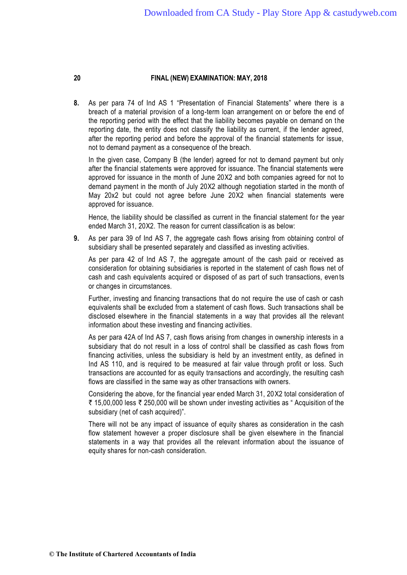**8.** As per para 74 of Ind AS 1 "Presentation of Financial Statements" where there is a breach of a material provision of a long-term loan arrangement on or before the end of the reporting period with the effect that the liability becomes payable on demand on t he reporting date, the entity does not classify the liability as current, if the lender agreed, after the reporting period and before the approval of the financial statements for issue, not to demand payment as a consequence of the breach.

In the given case, Company B (the lender) agreed for not to demand payment but only after the financial statements were approved for issuance. The financial statements were approved for issuance in the month of June 20X2 and both companies agreed for not to demand payment in the month of July 20X2 although negotiation started in the month of May 20x2 but could not agree before June 20X2 when financial statements were approved for issuance.

Hence, the liability should be classified as current in the financial statement for the year ended March 31, 20X2. The reason for current classification is as below:

**9.** As per para 39 of Ind AS 7, the aggregate cash flows arising from obtaining control of subsidiary shall be presented separately and classified as investing activities.

As per para 42 of Ind AS 7, the aggregate amount of the cash paid or received as consideration for obtaining subsidiaries is reported in the statement of cash flows net of cash and cash equivalents acquired or disposed of as part of such transactions, even ts or changes in circumstances.

Further, investing and financing transactions that do not require the use of cash or cash equivalents shall be excluded from a statement of cash flows. Such transactions shall be disclosed elsewhere in the financial statements in a way that provides all the relevant information about these investing and financing activities.

As per para 42A of Ind AS 7, cash flows arising from changes in ownership interests in a subsidiary that do not result in a loss of control shall be classified as cash flows from financing activities, unless the subsidiary is held by an investment entity, as defined in Ind AS 110, and is required to be measured at fair value through profit or loss. Such transactions are accounted for as equity transactions and accordingly, the resulting cash flows are classified in the same way as other transactions with owners.

Considering the above, for the financial year ended March 31, 20X2 total consideration of ₹ 15,00,000 less ₹ 250,000 will be shown under investing activities as " Acquisition of the subsidiary (net of cash acquired)".

There will not be any impact of issuance of equity shares as consideration in the cash flow statement however a proper disclosure shall be given elsewhere in the financial statements in a way that provides all the relevant information about the issuance of equity shares for non-cash consideration.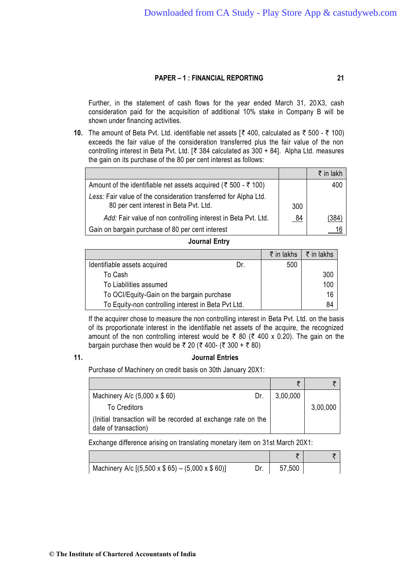Further, in the statement of cash flows for the year ended March 31, 20X3, cash consideration paid for the acquisition of additional 10% stake in Company B will be shown under financing activities.

**10.** The amount of Beta Pvt. Ltd. identifiable net assets  $\lceil \bar{\tau} \rceil 400$ , calculated as  $\bar{\tau}$  500 -  $\bar{\tau}$  100) exceeds the fair value of the consideration transferred plus the fair value of the non controlling interest in Beta Pvt. Ltd. [ $\overline{\tau}$  384 calculated as 300 + 84]. Alpha Ltd. measures the gain on its purchase of the 80 per cent interest as follows:

|                                                                                                            |     | $\bar{z}$ in lakh |
|------------------------------------------------------------------------------------------------------------|-----|-------------------|
| Amount of the identifiable net assets acquired ( $\bar{\tau}$ 500 - $\bar{\tau}$ 100)                      |     | 400               |
| Less: Fair value of the consideration transferred for Alpha Ltd.<br>80 per cent interest in Beta Pvt. Ltd. | 300 |                   |
| Add: Fair value of non controlling interest in Beta Pvt. Ltd.                                              | 84  | (384              |
| Gain on bargain purchase of 80 per cent interest                                                           |     |                   |

#### **Journal Entry**

|                                                     |     | $\bar{\tau}$ in lakhs | $\bar{\tau}$ in lakhs |
|-----------------------------------------------------|-----|-----------------------|-----------------------|
| Identifiable assets acquired                        | Dr. | 500                   |                       |
| To Cash                                             |     |                       | 300                   |
| To Liabilities assumed                              |     |                       | 100                   |
| To OCI/Equity-Gain on the bargain purchase          |     |                       | 16                    |
| To Equity-non controlling interest in Beta Pvt Ltd. |     |                       | 84                    |

If the acquirer chose to measure the non controlling interest in Beta Pvt. Ltd. on the basis of its proportionate interest in the identifiable net assets of the acquire, the recognized amount of the non controlling interest would be  $\bar{\tau}$  80 ( $\bar{\tau}$  400 x 0.20). The gain on the bargain purchase then would be ₹ 20 (₹ 400- (₹ 300 + ₹ 80)

#### **11. Journal Entries**

Purchase of Machinery on credit basis on 30th January 20X1:

| Machinery A/c $(5,000 \times $60)$                                                    | Dr. | 3,00,000 |          |
|---------------------------------------------------------------------------------------|-----|----------|----------|
| <b>To Creditors</b>                                                                   |     |          | 3,00,000 |
| (Initial transaction will be recorded at exchange rate on the<br>date of transaction) |     |          |          |

Exchange difference arising on translating monetary item on 31st March 20X1:

| Machinery A/c $[(5,500 \times $65) - (5,000 \times $60)]$ | 57,500 |  |
|-----------------------------------------------------------|--------|--|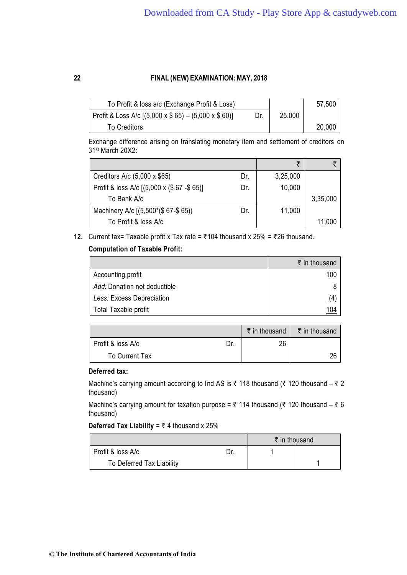| To Profit & loss a/c (Exchange Profit & Loss)                 |     |        | 57,500 |
|---------------------------------------------------------------|-----|--------|--------|
| Profit & Loss A/c $[(5,000 \times $65) - (5,000 \times $60)]$ | Dr. | 25,000 |        |
| <b>To Creditors</b>                                           |     |        | 20,000 |

Exchange difference arising on translating monetary item and settlement of creditors on 31st March 20X2:

|                                            |     | ₹        |          |
|--------------------------------------------|-----|----------|----------|
| Creditors A/c (5,000 x \$65)               | Dr. | 3,25,000 |          |
| Profit & loss A/c [(5,000 x (\$67 - \$65)] | Dr. | 10,000   |          |
| To Bank A/c                                |     |          | 3,35,000 |
| Machinery A/c [(5,500*(\$67-\$65))         | Dr. | 11,000   |          |
| To Profit & loss A/c                       |     |          | 11,000   |

**12.** Current tax= Taxable profit x Tax rate =  $\overline{5}$ 104 thousand x 25% =  $\overline{5}$ 26 thousand.

# **Computation of Taxable Profit:**

|                              | ₹ in thousand |
|------------------------------|---------------|
| Accounting profit            | 100           |
| Add: Donation not deductible |               |
| Less: Excess Depreciation    | (4)           |
| Total Taxable profit         | <u> 104</u>   |

|                   |     | ₹ in thousand | ₹ in thousand |
|-------------------|-----|---------------|---------------|
| Profit & loss A/c | Dr. | 26            |               |
| To Current Tax    |     |               | 26            |

# **Deferred tax:**

Machine's carrying amount according to Ind AS is  $\bar{\tau}$  118 thousand ( $\bar{\tau}$  120 thousand –  $\bar{\tau}$  2 thousand)

Machine's carrying amount for taxation purpose =  $\bar{\tau}$  114 thousand ( $\bar{\tau}$  120 thousand –  $\bar{\tau}$  6 thousand)

**Deferred Tax Liability** =  $\overline{z}$  4 thousand x 25%

|                           | $\bar{\tau}$ in thousand |  |
|---------------------------|--------------------------|--|
| Profit & loss A/c         |                          |  |
| To Deferred Tax Liability |                          |  |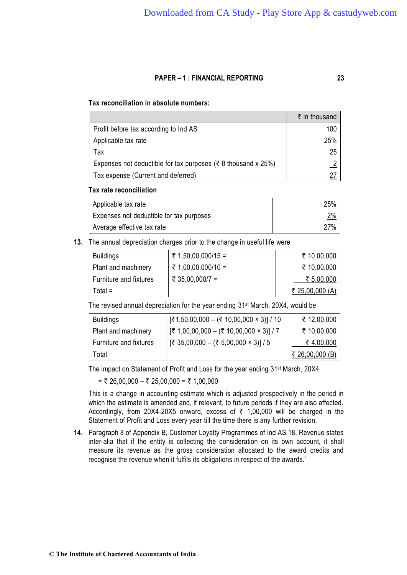## **Tax reconciliation in absolute numbers:**

|                                                                           | ₹ in thousand |
|---------------------------------------------------------------------------|---------------|
| Profit before tax according to Ind AS                                     | 100           |
| Applicable tax rate                                                       | 25%           |
| Tax                                                                       | 25            |
| Expenses not deductible for tax purposes ( $\bar{\tau}$ 8 thousand x 25%) |               |
| Tax expense (Current and deferred)                                        | 27            |

#### **Tax rate reconciliation**

| Applicable tax rate                      | 25%        |
|------------------------------------------|------------|
| Expenses not deductible for tax purposes | <u>2%</u>  |
| Average effective tax rate               | <u>27%</u> |

**13.** The annual depreciation charges prior to the change in useful life were

| <b>Buildings</b>       | ₹ 1,50,00,000/15 = | ₹ 10,00,000            |
|------------------------|--------------------|------------------------|
| Plant and machinery    | ₹ 1,00,00,000/10 = | ₹ 10,00,000            |
| Furniture and fixtures | ₹ 35,00,000/7 =    | ₹ 5,00,000             |
| Total =                |                    | <u>₹ 25,00,000 (A)</u> |

The revised annual depreciation for the year ending 31st March, 20X4, would be

| <b>Buildings</b>       | $[ ₹1,50,00,000 - ( ₹ 10,00,000 × 3)] / 10$                         | ₹ 12,00,000     |
|------------------------|---------------------------------------------------------------------|-----------------|
| Plant and machinery    | $[\overline{\xi}$ 1,00,00,000 – (₹ 10,00,000 × 3)] / 7              | ₹ 10,00,000     |
| Furniture and fixtures | $[\overline{\xi}$ 35,00,000 − ( $\overline{\xi}$ 5,00,000 × 3)] / 5 | ₹4,00,000       |
| Total                  |                                                                     | ₹ 26,00,000 (B) |

The impact on Statement of Profit and Loss for the year ending 31st March, 20X4

 $= ₹ 26,00,000 - ₹ 25,00,000 = ₹ 1,00,000$ 

This is a change in accounting estimate which is adjusted prospectively in the period in which the estimate is amended and, if relevant, to future periods if they are also affected. Accordingly, from 20X4-20X5 onward, excess of  $\bar{\tau}$  1,00,000 will be charged in the Statement of Profit and Loss every year till the time there is any further revision.

**14.** Paragraph 8 of Appendix B, Customer Loyalty Programmes of Ind AS 18, Revenue states inter-alia that if the entity is collecting the consideration on its own account, it shall measure its revenue as the gross consideration allocated to the award credits and recognise the revenue when it fulfils its obligations in respect of the awards."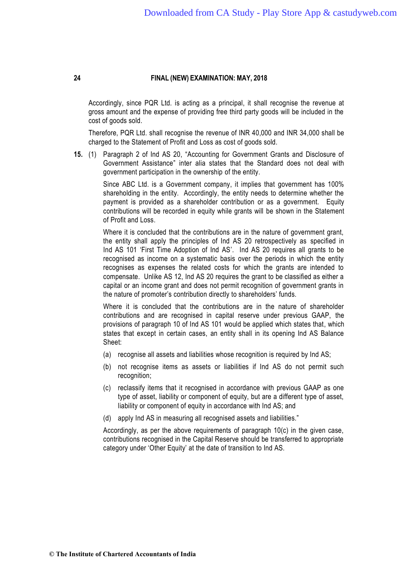Accordingly, since PQR Ltd. is acting as a principal, it shall recognise the revenue at gross amount and the expense of providing free third party goods will be included in the cost of goods sold.

Therefore, PQR Ltd. shall recognise the revenue of INR 40,000 and INR 34,000 shall be charged to the Statement of Profit and Loss as cost of goods sold.

**15.** (1) Paragraph 2 of Ind AS 20, "Accounting for Government Grants and Disclosure of Government Assistance" inter alia states that the Standard does not deal with government participation in the ownership of the entity.

> Since ABC Ltd. is a Government company, it implies that government has 100% shareholding in the entity. Accordingly, the entity needs to determine whether the payment is provided as a shareholder contribution or as a government. Equity contributions will be recorded in equity while grants will be shown in the Statement of Profit and Loss.

> Where it is concluded that the contributions are in the nature of government grant, the entity shall apply the principles of Ind AS 20 retrospectively as specified in Ind AS 101 'First Time Adoption of Ind AS'. Ind AS 20 requires all grants to be recognised as income on a systematic basis over the periods in which the entity recognises as expenses the related costs for which the grants are intended to compensate. Unlike AS 12, Ind AS 20 requires the grant to be classified as either a capital or an income grant and does not permit recognition of government grants in the nature of promoter's contribution directly to shareholders' funds.

> Where it is concluded that the contributions are in the nature of shareholder contributions and are recognised in capital reserve under previous GAAP, the provisions of paragraph 10 of Ind AS 101 would be applied which states that, which states that except in certain cases, an entity shall in its opening Ind AS Balance Sheet:

- (a) recognise all assets and liabilities whose recognition is required by Ind AS;
- (b) not recognise items as assets or liabilities if Ind AS do not permit such recognition;
- (c) reclassify items that it recognised in accordance with previous GAAP as one type of asset, liability or component of equity, but are a different type of asset, liability or component of equity in accordance with Ind AS; and
- (d) apply Ind AS in measuring all recognised assets and liabilities."

Accordingly, as per the above requirements of paragraph 10(c) in the given case, contributions recognised in the Capital Reserve should be transferred to appropriate category under 'Other Equity' at the date of transition to Ind AS.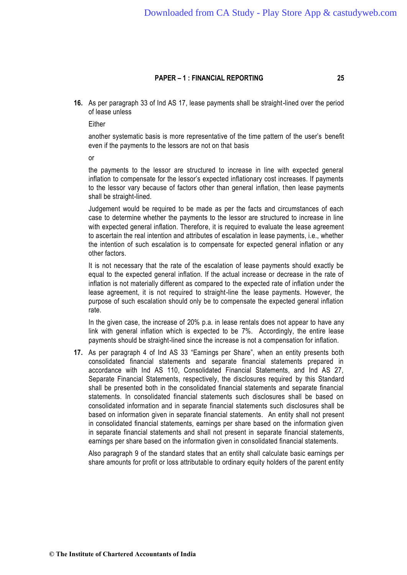**16.** As per paragraph 33 of Ind AS 17, lease payments shall be straight-lined over the period of lease unless

Either

another systematic basis is more representative of the time pattern of the user's benefit even if the payments to the lessors are not on that basis

or

the payments to the lessor are structured to increase in line with expected general inflation to compensate for the lessor's expected inflationary cost increases. If payments to the lessor vary because of factors other than general inflation, then lease payments shall be straight-lined.

Judgement would be required to be made as per the facts and circumstances of each case to determine whether the payments to the lessor are structured to increase in line with expected general inflation. Therefore, it is required to evaluate the lease agreement to ascertain the real intention and attributes of escalation in lease payments, i.e., whether the intention of such escalation is to compensate for expected general inflation or any other factors.

It is not necessary that the rate of the escalation of lease payments should exactly be equal to the expected general inflation. If the actual increase or decrease in the rate of inflation is not materially different as compared to the expected rate of inflation under the lease agreement, it is not required to straight-line the lease payments. However, the purpose of such escalation should only be to compensate the expected general inflation rate.

In the given case, the increase of 20% p.a. in lease rentals does not appear to have any link with general inflation which is expected to be 7%. Accordingly, the entire lease payments should be straight-lined since the increase is not a compensation for inflation.

**17.** As per paragraph 4 of Ind AS 33 "Earnings per Share", when an entity presents both consolidated financial statements and separate financial statements prepared in accordance with Ind AS 110, Consolidated Financial Statements, and Ind AS 27, Separate Financial Statements, respectively, the disclosures required by this Standard shall be presented both in the consolidated financial statements and separate financial statements. In consolidated financial statements such disclosures shall be based on consolidated information and in separate financial statements such disclosures shall be based on information given in separate financial statements. An entity shall not present in consolidated financial statements, earnings per share based on the information given in separate financial statements and shall not present in separate financial statements, earnings per share based on the information given in consolidated financial statements.

Also paragraph 9 of the standard states that an entity shall calculate basic earnings per share amounts for profit or loss attributable to ordinary equity holders of the parent entity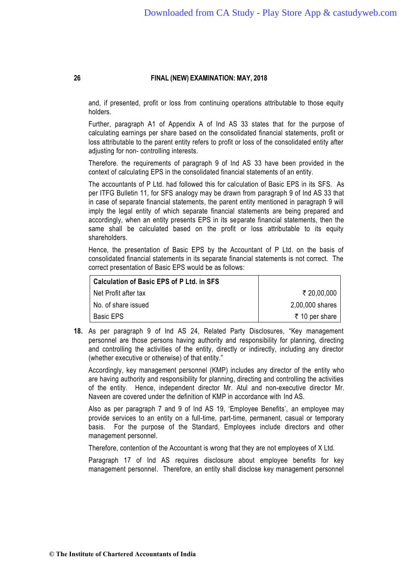and, if presented, profit or loss from continuing operations attributable to those equity holders.

Further, paragraph A1 of Appendix A of Ind AS 33 states that for the purpose of calculating earnings per share based on the consolidated financial statements, profit or loss attributable to the parent entity refers to profit or loss of the consolidated entity after adjusting for non- controlling interests.

Therefore. the requirements of paragraph 9 of Ind AS 33 have been provided in the context of calculating EPS in the consolidated financial statements of an entity.

The accountants of P Ltd. had followed this for calculation of Basic EPS in its SFS. As per ITFG Bulletin 11, for SFS analogy may be drawn from paragraph 9 of Ind AS 33 that in case of separate financial statements, the parent entity mentioned in paragraph 9 will imply the legal entity of which separate financial statements are being prepared and accordingly, when an entity presents EPS in its separate financial statements, then the same shall be calculated based on the profit or loss attributable to its equity shareholders.

Hence, the presentation of Basic EPS by the Accountant of P Ltd. on the basis of consolidated financial statements in its separate financial statements is not correct. The correct presentation of Basic EPS would be as follows:

| <b>Calculation of Basic EPS of P Ltd. in SFS</b> |                 |
|--------------------------------------------------|-----------------|
| Net Profit after tax                             | ₹ 20,00,000     |
| No. of share issued                              | 2,00,000 shares |
| <b>Basic EPS</b>                                 | ₹ 10 per share  |

**18.** As per paragraph 9 of Ind AS 24, Related Party Disclosures, "Key management personnel are those persons having authority and responsibility for planning, directing and controlling the activities of the entity, directly or indirectly, including any director (whether executive or otherwise) of that entity."

Accordingly, key management personnel (KMP) includes any director of the entity who are having authority and responsibility for planning, directing and controlling the activities of the entity. Hence, independent director Mr. Atul and non-executive director Mr. Naveen are covered under the definition of KMP in accordance with Ind AS.

Also as per paragraph 7 and 9 of Ind AS 19, 'Employee Benefits', an employee may provide services to an entity on a full-time, part-time, permanent, casual or temporary basis. For the purpose of the Standard, Employees include directors and other management personnel.

Therefore, contention of the Accountant is wrong that they are not employees of X Ltd.

Paragraph 17 of Ind AS requires disclosure about employee benefits for key management personnel. Therefore, an entity shall disclose key management personnel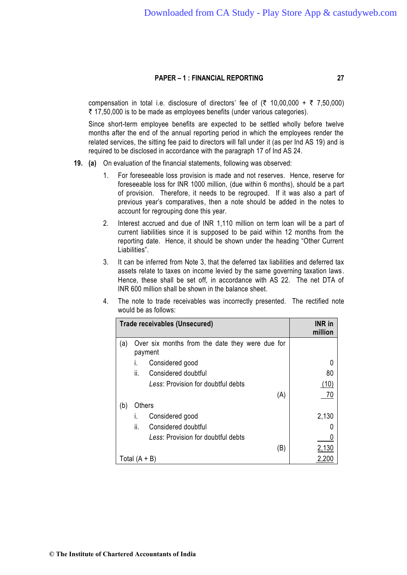compensation in total i.e. disclosure of directors' fee of  $(3, 10, 00, 000 + 7, 7, 50, 000)$  $\bar{\tau}$  17,50,000 is to be made as employees benefits (under various categories).

Since short-term employee benefits are expected to be settled wholly before twelve months after the end of the annual reporting period in which the employees render the related services, the sitting fee paid to directors will fall under it (as per Ind AS 19) and is required to be disclosed in accordance with the paragraph 17 of Ind AS 24.

- **19. (a)** On evaluation of the financial statements, following was observed:
	- 1. For foreseeable loss provision is made and not reserves. Hence, reserve for foreseeable loss for INR 1000 million, (due within 6 months), should be a part of provision. Therefore, it needs to be regrouped. If it was also a part of previous year's comparatives, then a note should be added in the notes to account for regrouping done this year.
	- 2. Interest accrued and due of INR 1,110 million on term loan will be a part of current liabilities since it is supposed to be paid within 12 months from the reporting date. Hence, it should be shown under the heading "Other Current Liabilities".
	- 3. It can be inferred from Note 3, that the deferred tax liabilities and deferred tax assets relate to taxes on income levied by the same governing taxation laws . Hence, these shall be set off, in accordance with AS 22. The net DTA of INR 600 million shall be shown in the balance sheet.
	- 4. The note to trade receivables was incorrectly presented. The rectified note would be as follows:

|     |               | <b>Trade receivables (Unsecured)</b>                       | <b>INR</b> in<br>million |
|-----|---------------|------------------------------------------------------------|--------------------------|
| (a) |               | Over six months from the date they were due for<br>payment |                          |
|     | I.            | Considered good                                            | 0                        |
|     | ii.           | Considered doubtful                                        | 80                       |
|     |               | Less: Provision for doubtful debts                         | (10)                     |
|     |               | (A)                                                        | 70                       |
| (b) | Others        |                                                            |                          |
|     | I.            | Considered good                                            | 2,130                    |
|     | ii.           | Considered doubtful                                        |                          |
|     |               | Less: Provision for doubtful debts                         |                          |
|     |               | (B)                                                        | 2,130                    |
|     | Total (A + B) |                                                            |                          |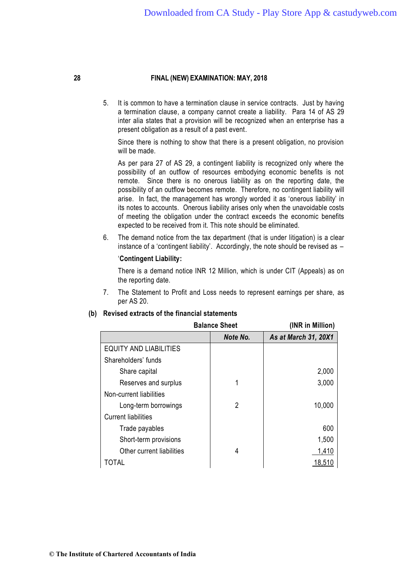5. It is common to have a termination clause in service contracts. Just by having a termination clause, a company cannot create a liability. Para 14 of AS 29 inter alia states that a provision will be recognized when an enterprise has a present obligation as a result of a past event.

Since there is nothing to show that there is a present obligation, no provision will be made.

As per para 27 of AS 29, a contingent liability is recognized only where the possibility of an outflow of resources embodying economic benefits is not remote. Since there is no onerous liability as on the reporting date, the possibility of an outflow becomes remote. Therefore, no contingent liability will arise. In fact, the management has wrongly worded it as 'onerous liability' in its notes to accounts. Onerous liability arises only when the unavoidable costs of meeting the obligation under the contract exceeds the economic benefits expected to be received from it. This note should be eliminated.

6. The demand notice from the tax department (that is under litigation) is a clear instance of a 'contingent liability'. Accordingly, the note should be revised as –

#### '**Contingent Liability:**

There is a demand notice INR 12 Million, which is under CIT (Appeals) as on the reporting date.

7. The Statement to Profit and Loss needs to represent earnings per share, as per AS 20.

| <b>Balance Sheet</b>          |          | (INR in Million)     |
|-------------------------------|----------|----------------------|
|                               | Note No. | As at March 31, 20X1 |
| <b>EQUITY AND LIABILITIES</b> |          |                      |
| Shareholders' funds           |          |                      |
| Share capital                 |          | 2,000                |
| Reserves and surplus          |          | 3,000                |
| Non-current liabilities       |          |                      |
| Long-term borrowings          | 2        | 10,000               |
| <b>Current liabilities</b>    |          |                      |
| Trade payables                |          | 600                  |
| Short-term provisions         |          | 1,500                |
| Other current liabilities     | 4        | 1,410                |
| TOTAL                         |          | 18,510               |

#### **(b) Revised extracts of the financial statements**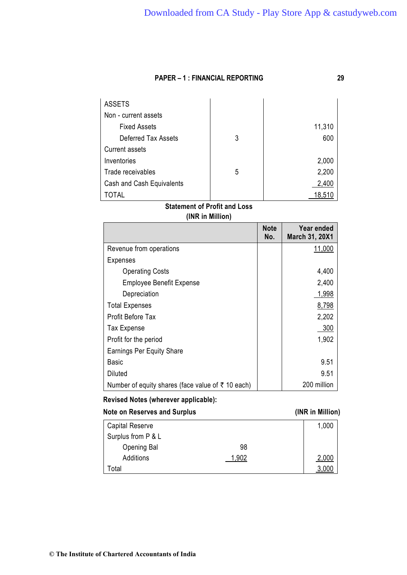| <b>ASSETS</b>             |   |        |
|---------------------------|---|--------|
| Non - current assets      |   |        |
| <b>Fixed Assets</b>       |   | 11,310 |
| Deferred Tax Assets       | 3 | 600    |
| <b>Current assets</b>     |   |        |
| Inventories               |   | 2,000  |
| Trade receivables         | 5 | 2,200  |
| Cash and Cash Equivalents |   | 2,400  |
| <b>TOTAL</b>              |   | 18,510 |

# **Statement of Profit and Loss (INR in Million)**

|                                                           | <b>Note</b><br>No. | Year ended<br><b>March 31, 20X1</b> |
|-----------------------------------------------------------|--------------------|-------------------------------------|
| Revenue from operations                                   |                    | 11,000                              |
| <b>Expenses</b>                                           |                    |                                     |
| <b>Operating Costs</b>                                    |                    | 4,400                               |
| <b>Employee Benefit Expense</b>                           |                    | 2,400                               |
| Depreciation                                              |                    | 1,998                               |
| <b>Total Expenses</b>                                     |                    | 8,798                               |
| <b>Profit Before Tax</b>                                  |                    | 2,202                               |
| <b>Tax Expense</b>                                        |                    | 300                                 |
| Profit for the period                                     |                    | 1,902                               |
| <b>Earnings Per Equity Share</b>                          |                    |                                     |
| Basic                                                     |                    | 9.51                                |
| Diluted                                                   |                    | 9.51                                |
| Number of equity shares (face value of $\bar{z}$ 10 each) |                    | 200 million                         |

# **Revised Notes (wherever applicable):**

# **Note on Reserves and Surplus (INR in Million)**

| <b>Capital Reserve</b> |      | 1,000 |
|------------------------|------|-------|
| Surplus from P & L     |      |       |
| Opening Bal            | 98   |       |
| Additions              | -902 | 2,000 |
| ⊺otal                  |      |       |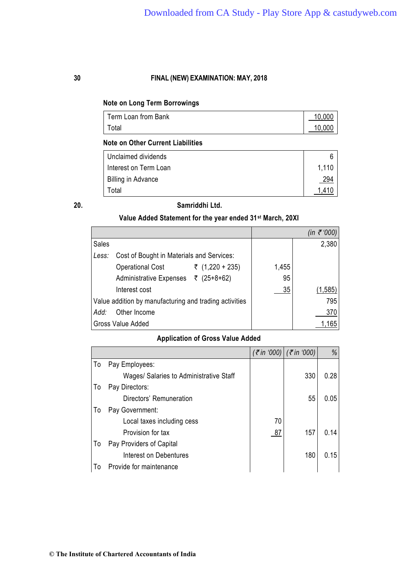# **Note on Long Term Borrowings**

| Term Loan from Bank | 10,000 |
|---------------------|--------|
| Total               | 10,000 |

## **Note on Other Current Liabilities**

| Unclaimed dividends   |            |
|-----------------------|------------|
| Interest on Term Loan | 1.110      |
| Billing in Advance    | <u>294</u> |
| Total                 |            |

## **20. Samriddhi Ltd.**

# **Value Added Statement for the year ended 31st March, 20XI**

|                                                        |       | (in ₹'000) |
|--------------------------------------------------------|-------|------------|
| Sales                                                  |       | 2,380      |
| Cost of Bought in Materials and Services:<br>Less:     |       |            |
| ₹ (1,220 + 235)<br><b>Operational Cost</b>             | 1,455 |            |
| Administrative Expenses ₹ (25+8+62)                    | 95    |            |
| Interest cost                                          | 35    | (1, 585)   |
| Value addition by manufacturing and trading activities |       | 795        |
| Other Income<br>Add:                                   |       | 370        |
| Gross Value Added                                      |       | 1,165      |

# **Application of Gross Value Added**

|    |                                         |    | $(\bar{\xi}$ in '000) $(\bar{\xi}$ in '000) | %    |
|----|-----------------------------------------|----|---------------------------------------------|------|
| To | Pay Employees:                          |    |                                             |      |
|    | Wages/ Salaries to Administrative Staff |    | 330                                         | 0.28 |
| To | Pay Directors:                          |    |                                             |      |
|    | Directors' Remuneration                 |    | 55                                          | 0.05 |
| To | Pay Government:                         |    |                                             |      |
|    | Local taxes including cess              | 70 |                                             |      |
|    | Provision for tax                       | 87 | 157                                         | 0.14 |
| To | Pay Providers of Capital                |    |                                             |      |
|    | Interest on Debentures                  |    | 180                                         | 0.15 |
| To | Provide for maintenance                 |    |                                             |      |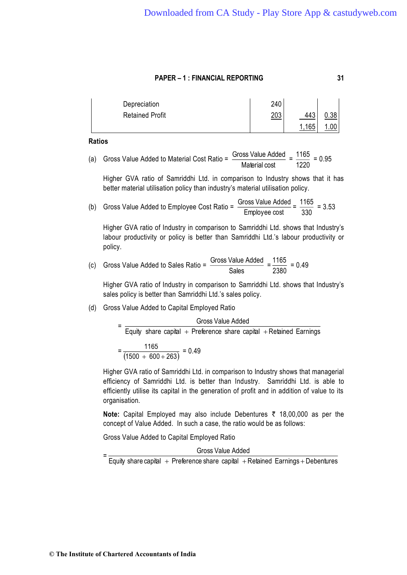| Depreciation           | 240 |     |      |
|------------------------|-----|-----|------|
| <b>Retained Profit</b> | 203 | 443 | 0.38 |
|                        |     | 165 |      |

**Ratios** 

(a) Gross Value Added to Material Cost Ratio = 
$$
\frac{Gross Value Added}{Material cost} = \frac{1165}{1220} = 0.95
$$

Higher GVA ratio of Samriddhi Ltd. in comparison to Industry shows that it has better material utilisation policy than industry's material utilisation policy.

(b) Gross Value Added to Employee Cost Ratio = Employee cost  $\frac{\text{Gross Value Added}}{\text{Employee cost}} = \frac{1165}{330}$  $\frac{1165}{200}$  = 3.53

Higher GVA ratio of Industry in comparison to Samriddhi Ltd. shows that Industry's labour productivity or policy is better than Samriddhi Ltd.'s labour productivity or policy.

(c) Gross Value Added to Sales Ratio = 
$$
\frac{\text{Gross Value Added}}{\text{Sales}} = \frac{1165}{2380} = 0.49
$$

Higher GVA ratio of Industry in comparison to Samriddhi Ltd. shows that Industry's sales policy is better than Samriddhi Ltd.'s sales policy.

(d) Gross Value Added to Capital Employed Ratio

|  | Gross Value Added                                                   |  |  |  |
|--|---------------------------------------------------------------------|--|--|--|
|  | Equity share capital + Preference share capital + Retained Earnings |  |  |  |
|  | 1165<br>$= 0.49$<br>$\frac{(1500 + 600 + 263)}{$                    |  |  |  |

Higher GVA ratio of Samriddhi Ltd. in comparison to Industry shows that managerial efficiency of Samriddhi Ltd. is better than Industry. Samriddhi Ltd. is able to efficiently utilise its capital in the generation of profit and in addition of value to its organisation.

**Note:** Capital Employed may also include Debentures ₹ 18,00,000 as per the concept of Value Added. In such a case, the ratio would be as follows:

Gross Value Added to Capital Employed Ratio

Gross Value Added

= Equity share capital  $\,+\,$  Preference share capital  $\,+\,$ Retained Earnings $\,+\,$ Debentures